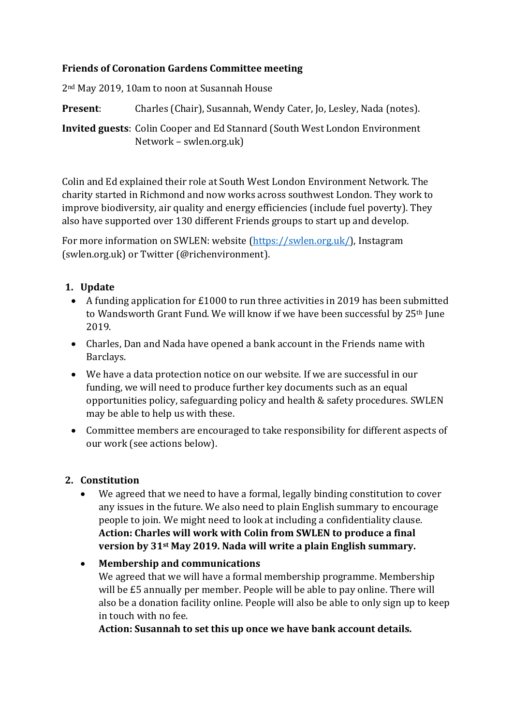#### **Friends of Coronation Gardens Committee meeting**

2nd May 2019, 10am to noon at Susannah House

**Present**: Charles (Chair), Susannah, Wendy Cater, Jo, Lesley, Nada (notes).

**Invited guests**: Colin Cooper and Ed Stannard (South West London Environment Network – swlen.org.uk)

Colin and Ed explained their role at South West London Environment Network. The charity started in Richmond and now works across southwest London. They work to improve biodiversity, air quality and energy efficiencies (include fuel poverty). They also have supported over 130 different Friends groups to start up and develop.

For more information on SWLEN: website [\(https://swlen.org.uk/\)](https://swlen.org.uk/), Instagram (swlen.org.uk) or Twitter (@richenvironment).

## **1. Update**

- A funding application for £1000 to run three activities in 2019 has been submitted to Wandsworth Grant Fund. We will know if we have been successful by 25th June 2019.
- Charles, Dan and Nada have opened a bank account in the Friends name with Barclays.
- We have a data protection notice on our website. If we are successful in our funding, we will need to produce further key documents such as an equal opportunities policy, safeguarding policy and health & safety procedures. SWLEN may be able to help us with these.
- Committee members are encouraged to take responsibility for different aspects of our work (see actions below).

## **2. Constitution**

• We agreed that we need to have a formal, legally binding constitution to cover any issues in the future. We also need to plain English summary to encourage people to join. We might need to look at including a confidentiality clause. **Action: Charles will work with Colin from SWLEN to produce a final version by 31st May 2019. Nada will write a plain English summary.**

# • **Membership and communications** We agreed that we will have a formal membership programme. Membership will be £5 annually per member. People will be able to pay online. There will also be a donation facility online. People will also be able to only sign up to keep in touch with no fee.

**Action: Susannah to set this up once we have bank account details.**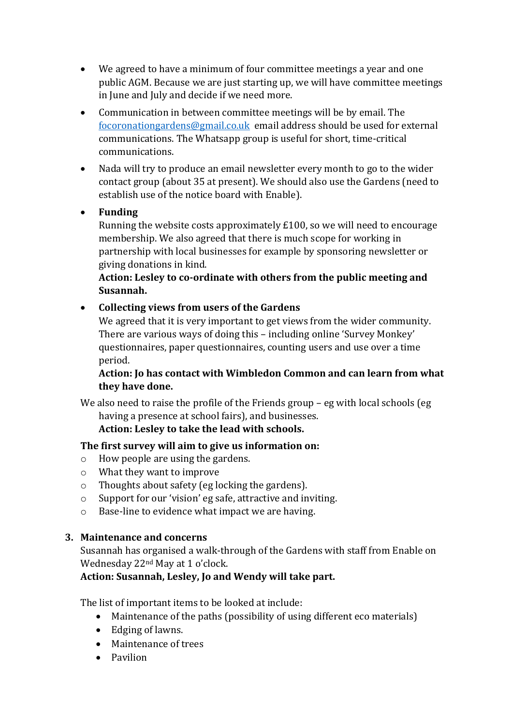- We agreed to have a minimum of four committee meetings a year and one public AGM. Because we are just starting up, we will have committee meetings in June and July and decide if we need more.
- Communication in between committee meetings will be by email. The [focoronationgardens@gmail.co.uk](mailto:focoronationgardens@gmail.co.uk) email address should be used for external communications. The Whatsapp group is useful for short, time-critical communications.
- Nada will try to produce an email newsletter every month to go to the wider contact group (about 35 at present). We should also use the Gardens (need to establish use of the notice board with Enable).
- **Funding**

Running the website costs approximately £100, so we will need to encourage membership. We also agreed that there is much scope for working in partnership with local businesses for example by sponsoring newsletter or giving donations in kind.

#### **Action: Lesley to co-ordinate with others from the public meeting and Susannah.**

• **Collecting views from users of the Gardens**

We agreed that it is very important to get views from the wider community. There are various ways of doing this – including online 'Survey Monkey' questionnaires, paper questionnaires, counting users and use over a time period.

#### **Action: Jo has contact with Wimbledon Common and can learn from what they have done.**

We also need to raise the profile of the Friends group – eg with local schools (eg having a presence at school fairs), and businesses.

## **Action: Lesley to take the lead with schools.**

## **The first survey will aim to give us information on:**

- o How people are using the gardens.
- o What they want to improve
- o Thoughts about safety (eg locking the gardens).
- o Support for our 'vision' eg safe, attractive and inviting.
- o Base-line to evidence what impact we are having.

## **3. Maintenance and concerns**

Susannah has organised a walk-through of the Gardens with staff from Enable on Wednesday 22nd May at 1 o'clock.

## **Action: Susannah, Lesley, Jo and Wendy will take part.**

The list of important items to be looked at include:

- Maintenance of the paths (possibility of using different eco materials)
- Edging of lawns.
- Maintenance of trees
- Pavilion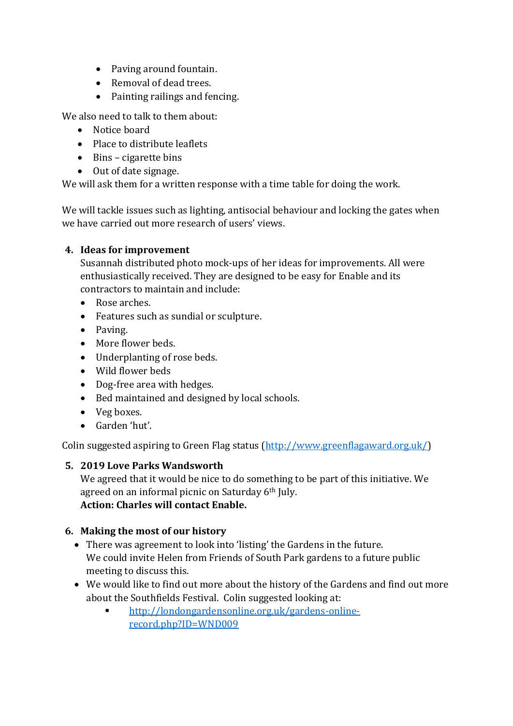- Paving around fountain.
- Removal of dead trees.
- Painting railings and fencing.

We also need to talk to them about:

- Notice board
- Place to distribute leaflets
- Bins cigarette bins
- Out of date signage.

We will ask them for a written response with a time table for doing the work.

We will tackle issues such as lighting, antisocial behaviour and locking the gates when we have carried out more research of users' views.

#### **4. Ideas for improvement**

Susannah distributed photo mock-ups of her ideas for improvements. All were enthusiastically received. They are designed to be easy for Enable and its contractors to maintain and include:

- Rose arches.
- Features such as sundial or sculpture.
- Paving.
- More flower beds.
- Underplanting of rose beds.
- Wild flower beds
- Dog-free area with hedges.
- Bed maintained and designed by local schools.
- Veg boxes.
- Garden 'hut'.

Colin suggested aspiring to Green Flag status [\(http://www.greenflagaward.org.uk/\)](http://www.greenflagaward.org.uk/)

#### **5. 2019 Love Parks Wandsworth**

We agreed that it would be nice to do something to be part of this initiative. We agreed on an informal picnic on Saturday 6th July. **Action: Charles will contact Enable.**

#### **6. Making the most of our history**

- There was agreement to look into 'listing' the Gardens in the future. We could invite Helen from Friends of South Park gardens to a future public meeting to discuss this.
- We would like to find out more about the history of the Gardens and find out more about the Southfields Festival. Colin suggested looking at:
	- [http://londongardensonline.org.uk/gardens-online](http://londongardensonline.org.uk/gardens-online-record.php?ID=WND009)[record.php?ID=WND009](http://londongardensonline.org.uk/gardens-online-record.php?ID=WND009)